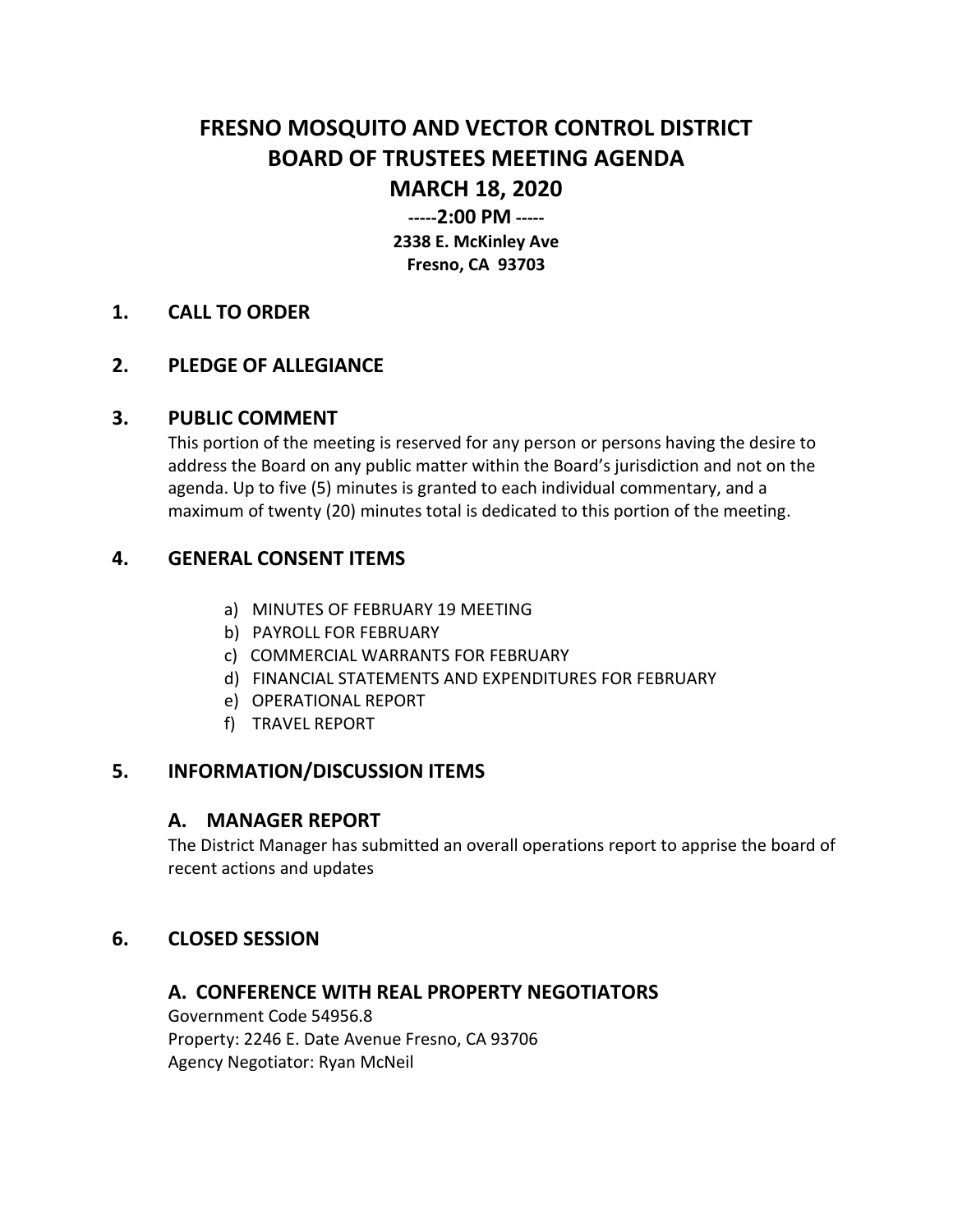# **FRESNO MOSQUITO AND VECTOR CONTROL DISTRICT BOARD OF TRUSTEES MEETING AGENDA MARCH 18, 2020**

**-----2:00 PM ----- 2338 E. McKinley Ave**

**Fresno, CA 93703**

#### **1. CALL TO ORDER**

## **2. PLEDGE OF ALLEGIANCE**

#### **3. PUBLIC COMMENT**

This portion of the meeting is reserved for any person or persons having the desire to address the Board on any public matter within the Board's jurisdiction and not on the agenda. Up to five (5) minutes is granted to each individual commentary, and a maximum of twenty (20) minutes total is dedicated to this portion of the meeting.

## **4. GENERAL CONSENT ITEMS**

- a) MINUTES OF FEBRUARY 19 MEETING
- b) PAYROLL FOR FEBRUARY
- c) COMMERCIAL WARRANTS FOR FEBRUARY
- d) FINANCIAL STATEMENTS AND EXPENDITURES FOR FEBRUARY
- e) OPERATIONAL REPORT
- f) TRAVEL REPORT

#### **5. INFORMATION/DISCUSSION ITEMS**

#### **A. MANAGER REPORT**

The District Manager has submitted an overall operations report to apprise the board of recent actions and updates

# **6. CLOSED SESSION**

#### **A. CONFERENCE WITH REAL PROPERTY NEGOTIATORS**

Government Code 54956.8 Property: 2246 E. Date Avenue Fresno, CA 93706 Agency Negotiator: Ryan McNeil